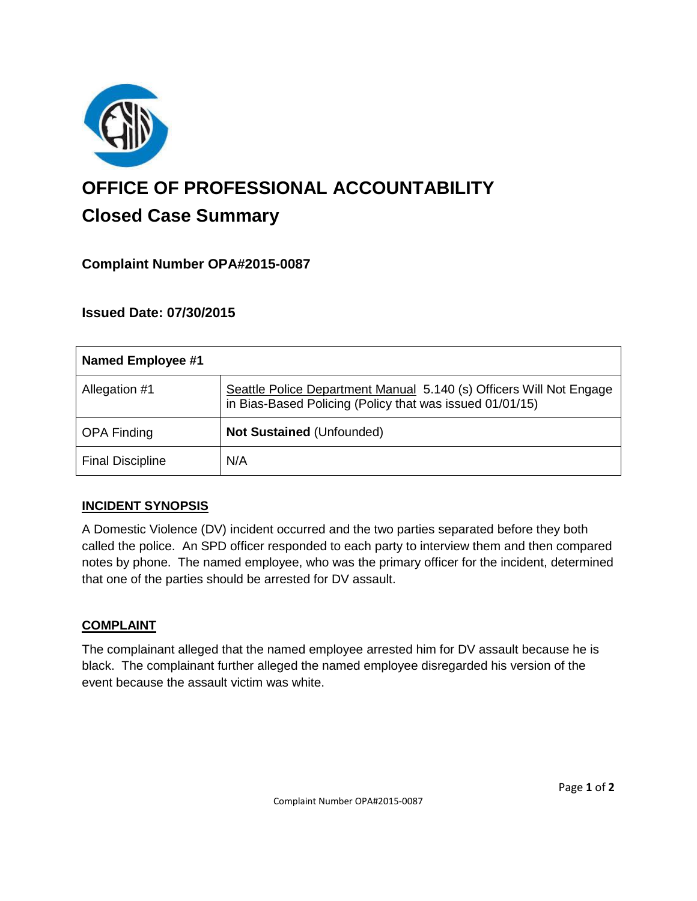

# **OFFICE OF PROFESSIONAL ACCOUNTABILITY Closed Case Summary**

# **Complaint Number OPA#2015-0087**

# **Issued Date: 07/30/2015**

| Named Employee #1       |                                                                                                                                 |
|-------------------------|---------------------------------------------------------------------------------------------------------------------------------|
| Allegation #1           | Seattle Police Department Manual 5.140 (s) Officers Will Not Engage<br>in Bias-Based Policing (Policy that was issued 01/01/15) |
| <b>OPA Finding</b>      | Not Sustained (Unfounded)                                                                                                       |
| <b>Final Discipline</b> | N/A                                                                                                                             |

### **INCIDENT SYNOPSIS**

A Domestic Violence (DV) incident occurred and the two parties separated before they both called the police. An SPD officer responded to each party to interview them and then compared notes by phone. The named employee, who was the primary officer for the incident, determined that one of the parties should be arrested for DV assault.

### **COMPLAINT**

The complainant alleged that the named employee arrested him for DV assault because he is black. The complainant further alleged the named employee disregarded his version of the event because the assault victim was white.